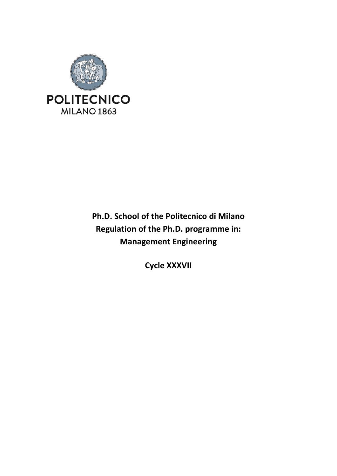

# **Ph.D. School of the Politecnico di Milano Regulation of the Ph.D. programme in: Management Engineering**

**Cycle XXXVII**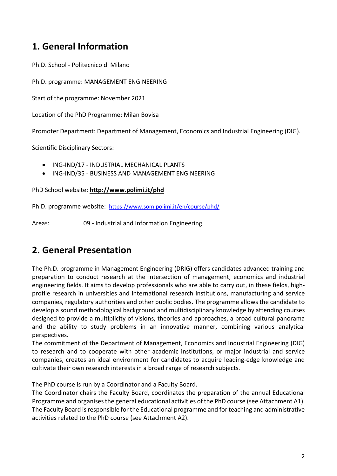## **1. General Information**

Ph.D. School - Politecnico di Milano

Ph.D. programme: MANAGEMENT ENGINEERING

Start of the programme: November 2021

Location of the PhD Programme: Milan Bovisa

Promoter Department: Department of Management, Economics and Industrial Engineering (DIG).

Scientific Disciplinary Sectors:

- ING-IND/17 INDUSTRIAL MECHANICAL PLANTS
- ING-IND/35 BUSINESS AND MANAGEMENT ENGINEERING

PhD School website: **<http://www.polimi.it/phd>**

Ph.D. programme website: <https://www.som.polimi.it/en/course/phd/>

Areas: 09 - Industrial and Information Engineering

## **2. General Presentation**

The Ph.D. programme in Management Engineering (DRIG) offers candidates advanced training and preparation to conduct research at the intersection of management, economics and industrial engineering fields. It aims to develop professionals who are able to carry out, in these fields, highprofile research in universities and international research institutions, manufacturing and service companies, regulatory authorities and other public bodies. The programme allows the candidate to develop a sound methodological background and multidisciplinary knowledge by attending courses designed to provide a multiplicity of visions, theories and approaches, a broad cultural panorama and the ability to study problems in an innovative manner, combining various analytical perspectives.

The commitment of the Department of Management, Economics and Industrial Engineering (DIG) to research and to cooperate with other academic institutions, or major industrial and service companies, creates an ideal environment for candidates to acquire leading-edge knowledge and cultivate their own research interests in a broad range of research subjects.

The PhD course is run by a Coordinator and a Faculty Board.

The Coordinator chairs the Faculty Board, coordinates the preparation of the annual Educational Programme and organises the general educational activities of the PhD course (see Attachment A1). The Faculty Board is responsible for the Educational programme and for teaching and administrative activities related to the PhD course (see Attachment A2).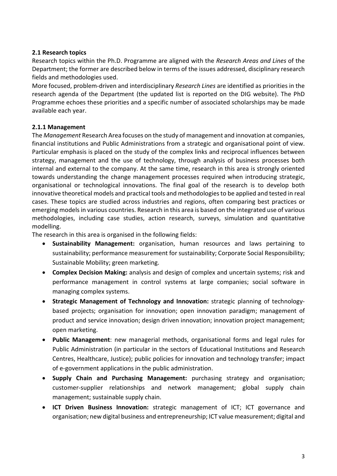#### **2.1 Research topics**

Research topics within the Ph.D. Programme are aligned with the *Research Areas and Lines* of the Department; the former are described below in terms of the issues addressed, disciplinary research fields and methodologies used.

More focused, problem-driven and interdisciplinary *Research Lines* are identified as priorities in the research agenda of the Department (the updated list is reported on the DIG website). The PhD Programme echoes these priorities and a specific number of associated scholarships may be made available each year.

#### **2.1.1 Management**

The *Management* Research Area focuses on the study of management and innovation at companies, financial institutions and Public Administrations from a strategic and organisational point of view. Particular emphasis is placed on the study of the complex links and reciprocal influences between strategy, management and the use of technology, through analysis of business processes both internal and external to the company. At the same time, research in this area is strongly oriented towards understanding the change management processes required when introducing strategic, organisational or technological innovations. The final goal of the research is to develop both innovative theoretical models and practical tools and methodologies to be applied and tested in real cases. These topics are studied across industries and regions, often comparing best practices or emerging models in various countries. Research in this area is based on the integrated use of various methodologies, including case studies, action research, surveys, simulation and quantitative modelling.

The research in this area is organised in the following fields:

- **Sustainability Management:** organisation, human resources and laws pertaining to sustainability; performance measurement for sustainability; Corporate Social Responsibility; Sustainable Mobility; green marketing.
- **Complex Decision Making:** analysis and design of complex and uncertain systems; risk and performance management in control systems at large companies; social software in managing complex systems.
- **Strategic Management of Technology and Innovation:** strategic planning of technologybased projects; organisation for innovation; open innovation paradigm; management of product and service innovation; design driven innovation; innovation project management; open marketing.
- **Public Management**: new managerial methods, organisational forms and legal rules for Public Administration (in particular in the sectors of Educational Institutions and Research Centres, Healthcare, Justice); public policies for innovation and technology transfer; impact of e-government applications in the public administration.
- **Supply Chain and Purchasing Management:** purchasing strategy and organisation; customer-supplier relationships and network management; global supply chain management; sustainable supply chain.
- **ICT Driven Business Innovation:** strategic management of ICT; ICT governance and organisation; new digital business and entrepreneurship; ICT value measurement; digital and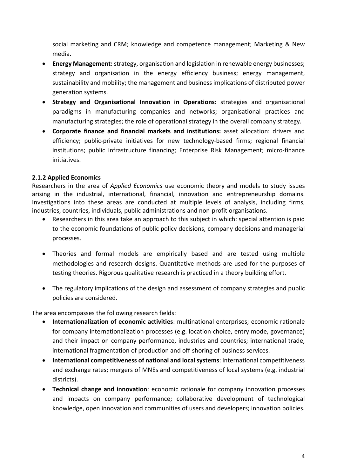social marketing and CRM; knowledge and competence management; Marketing & New media.

- **Energy Management:** strategy, organisation and legislation in renewable energy businesses; strategy and organisation in the energy efficiency business; energy management, sustainability and mobility; the management and business implications of distributed power generation systems.
- **Strategy and Organisational Innovation in Operations:** strategies and organisational paradigms in manufacturing companies and networks; organisational practices and manufacturing strategies; the role of operational strategy in the overall company strategy.
- **Corporate finance and financial markets and institutions:** asset allocation: drivers and efficiency; public-private initiatives for new technology-based firms; regional financial institutions; public infrastructure financing; Enterprise Risk Management; micro-finance initiatives.

#### **2.1.2 Applied Economics**

Researchers in the area of *Applied Economics* use economic theory and models to study issues arising in the industrial, international, financial, innovation and entrepreneurship domains. Investigations into these areas are conducted at multiple levels of analysis, including firms, industries, countries, individuals, public administrations and non-profit organisations.

- Researchers in this area take an approach to this subject in which: special attention is paid to the economic foundations of public policy decisions, company decisions and managerial processes.
- Theories and formal models are empirically based and are tested using multiple methodologies and research designs. Quantitative methods are used for the purposes of testing theories. Rigorous qualitative research is practiced in a theory building effort.
- The regulatory implications of the design and assessment of company strategies and public policies are considered.

The area encompasses the following research fields:

- **Internationalization of economic activities**: multinational enterprises; economic rationale for company internationalization processes (e.g. location choice, entry mode, governance) and their impact on company performance, industries and countries; international trade, international fragmentation of production and off-shoring of business services.
- **International competitiveness of national and local systems**: international competitiveness and exchange rates; mergers of MNEs and competitiveness of local systems (e.g. industrial districts).
- **Technical change and innovation**: economic rationale for company innovation processes and impacts on company performance; collaborative development of technological knowledge, open innovation and communities of users and developers; innovation policies.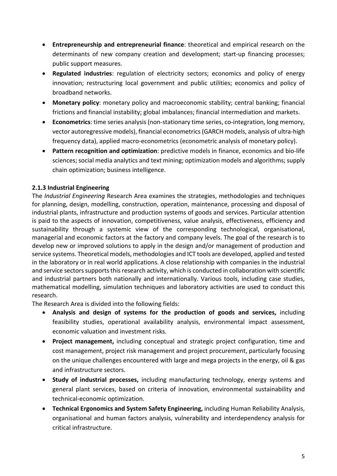- **Entrepreneurship and entrepreneurial finance**: theoretical and empirical research on the determinants of new company creation and development; start-up financing processes; public support measures.
- **Regulated industries**: regulation of electricity sectors; economics and policy of energy innovation; restructuring local government and public utilities; economics and policy of broadband networks.
- **Monetary policy**: monetary policy and macroeconomic stability; central banking; financial frictions and financial instability; global imbalances; financial intermediation and markets.
- **Econometrics**: time series analysis (non-stationary time series, co-integration, long memory, vector autoregressive models), financial econometrics (GARCH models, analysis of ultra-high frequency data), applied macro-econometrics (econometric analysis of monetary policy).
- **Pattern recognition and optimization**: predictive models in finance, economics and bio-life sciences; social media analytics and text mining; optimization models and algorithms; supply chain optimization; business intelligence.

### **2.1.3 Industrial Engineering**

The *Industrial Engineering* Research Area examines the strategies, methodologies and techniques for planning, design, modelling, construction, operation, maintenance, processing and disposal of industrial plants, infrastructure and production systems of goods and services. Particular attention is paid to the aspects of innovation, competitiveness, value analysis, effectiveness, efficiency and sustainability through a systemic view of the corresponding technological, organisational, managerial and economic factors at the factory and company levels. The goal of the research is to develop new or improved solutions to apply in the design and/or management of production and service systems. Theoretical models, methodologies and ICT tools are developed, applied and tested in the laboratory or in real world applications. A close relationship with companies in the industrial and service sectors supports this research activity, which is conducted in collaboration with scientific and industrial partners both nationally and internationally. Various tools, including case studies, mathematical modelling, simulation techniques and laboratory activities are used to conduct this research.

The Research Area is divided into the following fields:

- **Analysis and design of systems for the production of goods and services,** including feasibility studies, operational availability analysis, environmental impact assessment, economic valuation and investment risks.
- **Project management,** including conceptual and strategic project configuration, time and cost management, project risk management and project procurement, particularly focusing on the unique challenges encountered with large and mega projects in the energy, oil & gas and infrastructure sectors.
- **Study of industrial processes,** including manufacturing technology, energy systems and general plant services, based on criteria of innovation, environmental sustainability and technical-economic optimization.
- **Technical Ergonomics and System Safety Engineering,** including Human Reliability Analysis, organisational and human factors analysis, vulnerability and interdependency analysis for critical infrastructure.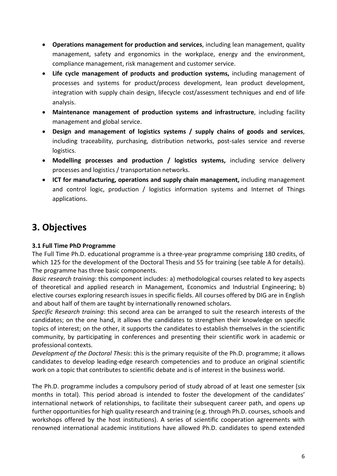- **Operations management for production and services**, including lean management, quality management, safety and ergonomics in the workplace, energy and the environment, compliance management, risk management and customer service.
- **Life cycle management of products and production systems,** including management of processes and systems for product/process development, lean product development, integration with supply chain design, lifecycle cost/assessment techniques and end of life analysis.
- **Maintenance management of production systems and infrastructure**, including facility management and global service.
- **Design and management of logistics systems / supply chains of goods and services**, including traceability, purchasing, distribution networks, post-sales service and reverse logistics.
- **Modelling processes and production / logistics systems,** including service delivery processes and logistics / transportation networks.
- **ICT for manufacturing, operations and supply chain management,** including management and control logic, production / logistics information systems and Internet of Things applications.

# **3. Objectives**

### **3.1 Full Time PhD Programme**

The Full Time Ph.D. educational programme is a three-year programme comprising 180 credits, of which 125 for the development of the Doctoral Thesis and 55 for training (see table A for details). The programme has three basic components.

*Basic research training*: this component includes: a) methodological courses related to key aspects of theoretical and applied research in Management, Economics and Industrial Engineering; b) elective courses exploring research issues in specific fields. All courses offered by DIG are in English and about half of them are taught by internationally renowned scholars.

*Specific Research training*: this second area can be arranged to suit the research interests of the candidates; on the one hand, it allows the candidates to strengthen their knowledge on specific topics of interest; on the other, it supports the candidates to establish themselves in the scientific community, by participating in conferences and presenting their scientific work in academic or professional contexts.

*Development of the Doctoral Thesis*: this is the primary requisite of the Ph.D. programme; it allows candidates to develop leading-edge research competencies and to produce an original scientific work on a topic that contributes to scientific debate and is of interest in the business world.

The Ph.D. programme includes a compulsory period of study abroad of at least one semester (six months in total). This period abroad is intended to foster the development of the candidates' international network of relationships, to facilitate their subsequent career path, and opens up further opportunities for high quality research and training (e.g. through Ph.D. courses, schools and workshops offered by the host institutions). A series of scientific cooperation agreements with renowned international academic institutions have allowed Ph.D. candidates to spend extended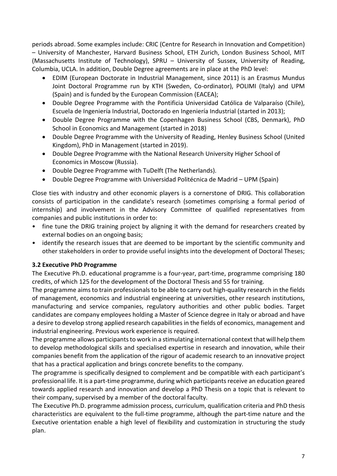periods abroad. Some examples include: CRIC (Centre for Research in Innovation and Competition) – University of Manchester, Harvard Business School, ETH Zurich, London Business School, MIT (Massachusetts Institute of Technology), SPRU – University of Sussex, University of Reading, Columbia, UCLA. In addition, Double Degree agreements are in place at the PhD level:

- EDIM (European Doctorate in Industrial Management, since 2011) is an Erasmus Mundus Joint Doctoral Programme run by KTH (Sweden, Co-ordinator), POLIMI (Italy) and UPM (Spain) and is funded by the European Commission (EACEA);
- Double Degree Programme with the Pontificia Universidad Católica de Valparaíso (Chile), Escuela de Ingeniería Industrial, Doctorado en Ingeniería Industrial (started in 2013);
- Double Degree Programme with the Copenhagen Business School (CBS, Denmark), PhD School in Economics and Management (started in 2018)
- Double Degree Programme with the University of Reading, Henley Business School (United Kingdom), PhD in Management (started in 2019).
- Double Degree Programme with the National Research University Higher School of Economics in Moscow (Russia).
- Double Degree Programme with TuDelft (The Netherlands).
- Double Degree Programme with Universidad Politécnica de Madrid UPM (Spain)

Close ties with industry and other economic players is a cornerstone of DRIG. This collaboration consists of participation in the candidate's research (sometimes comprising a formal period of internship) and involvement in the Advisory Committee of qualified representatives from companies and public institutions in order to:

- fine tune the DRIG training project by aligning it with the demand for researchers created by external bodies on an ongoing basis;
- identify the research issues that are deemed to be important by the scientific community and other stakeholders in order to provide useful insights into the development of Doctoral Theses;

#### **3.2 Executive PhD Programme**

The Executive Ph.D. educational programme is a four-year, part-time, programme comprising 180 credits, of which 125 for the development of the Doctoral Thesis and 55 for training.

The programme aims to train professionals to be able to carry out high-quality research in the fields of management, economics and industrial engineering at universities, other research institutions, manufacturing and service companies, regulatory authorities and other public bodies. Target candidates are company employees holding a Master of Science degree in Italy or abroad and have a desire to develop strong applied research capabilities in the fields of economics, management and industrial engineering. Previous work experience is required.

The programme allows participants to work in a stimulating international context that will help them to develop methodological skills and specialised expertise in research and innovation, while their companies benefit from the application of the rigour of academic research to an innovative project that has a practical application and brings concrete benefits to the company.

The programme is specifically designed to complement and be compatible with each participant's professional life. It is a part-time programme, during which participants receive an education geared towards applied research and innovation and develop a PhD Thesis on a topic that is relevant to their company, supervised by a member of the doctoral faculty.

The Executive Ph.D. programme admission process, curriculum, qualification criteria and PhD thesis characteristics are equivalent to the full-time programme, although the part-time nature and the Executive orientation enable a high level of flexibility and customization in structuring the study plan.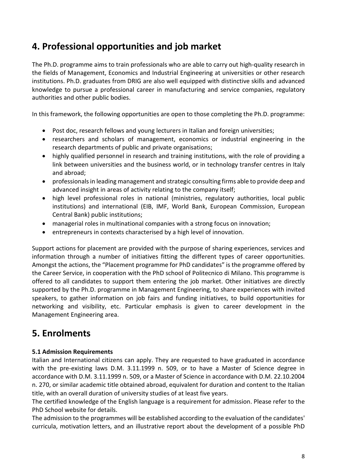## **4. Professional opportunities and job market**

The Ph.D. programme aims to train professionals who are able to carry out high-quality research in the fields of Management, Economics and Industrial Engineering at universities or other research institutions. Ph.D. graduates from DRIG are also well equipped with distinctive skills and advanced knowledge to pursue a professional career in manufacturing and service companies, regulatory authorities and other public bodies.

In this framework, the following opportunities are open to those completing the Ph.D. programme:

- Post doc, research fellows and young lecturers in Italian and foreign universities;
- researchers and scholars of management, economics or industrial engineering in the research departments of public and private organisations;
- highly qualified personnel in research and training institutions, with the role of providing a link between universities and the business world, or in technology transfer centres in Italy and abroad;
- professionals in leading management and strategic consulting firms able to provide deep and advanced insight in areas of activity relating to the company itself;
- high level professional roles in national (ministries, regulatory authorities, local public institutions) and international (EIB, IMF, World Bank, European Commission, European Central Bank) public institutions;
- managerial roles in multinational companies with a strong focus on innovation;
- entrepreneurs in contexts characterised by a high level of innovation.

Support actions for placement are provided with the purpose of sharing experiences, services and information through a number of initiatives fitting the different types of career opportunities. Amongst the actions, the "Placement programme for PhD candidates" is the programme offered by the Career Service, in cooperation with the PhD school of Politecnico di Milano. This programme is offered to all candidates to support them entering the job market. Other initiatives are directly supported by the Ph.D. programme in Management Engineering, to share experiences with invited speakers, to gather information on job fairs and funding initiatives, to build opportunities for networking and visibility, etc. Particular emphasis is given to career development in the Management Engineering area.

## **5. Enrolments**

### **5.1 Admission Requirements**

Italian and International citizens can apply. They are requested to have graduated in accordance with the pre-existing laws D.M. 3.11.1999 n. 509, or to have a Master of Science degree in accordance with D.M. 3.11.1999 n. 509, or a Master of Science in accordance with D.M. 22.10.2004 n. 270, or similar academic title obtained abroad, equivalent for duration and content to the Italian title, with an overall duration of university studies of at least five years.

The certified knowledge of the English language is a requirement for admission. Please refer to the PhD School website for details.

The admission to the programmes will be established according to the evaluation of the candidates' curricula, motivation letters, and an illustrative report about the development of a possible PhD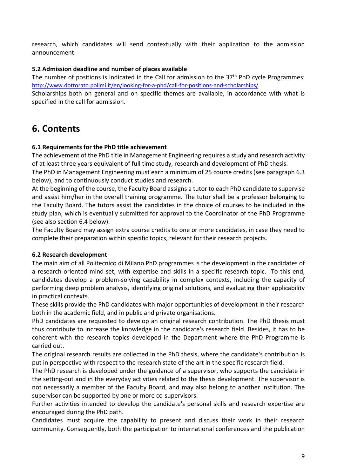research, which candidates will send contextually with their application to the admission announcement.

#### **5.2 Admission deadline and number of places available**

The number of positions is indicated in the Call for admission to the  $37<sup>th</sup>$  PhD cycle Programmes: <http://www.dottorato.polimi.it/en/looking-for-a-phd/call-for-positions-and-scholarships/>

Scholarships both on general and on specific themes are available, in accordance with what is specified in the call for admission.

## **6. Contents**

#### **6.1 Requirements for the PhD title achievement**

The achievement of the PhD title in Management Engineering requires a study and research activity of at least three years equivalent of full time study, research and development of PhD thesis.

The PhD in Management Engineering must earn a minimum of 25 course credits (see paragraph 6.3 below), and to continuously conduct studies and research.

At the beginning of the course, the Faculty Board assigns a tutor to each PhD candidate to supervise and assist him/her in the overall training programme. The tutor shall be a professor belonging to the Faculty Board. The tutors assist the candidates in the choice of courses to be included in the study plan, which is eventually submitted for approval to the Coordinator of the PhD Programme (see also section 6.4 below).

The Faculty Board may assign extra course credits to one or more candidates, in case they need to complete their preparation within specific topics, relevant for their research projects.

#### **6.2 Research development**

The main aim of all Politecnico di Milano PhD programmes is the development in the candidates of a research-oriented mind-set, with expertise and skills in a specific research topic. To this end, candidates develop a problem-solving capability in complex contexts, including the capacity of performing deep problem analysis, identifying original solutions, and evaluating their applicability in practical contexts.

These skills provide the PhD candidates with major opportunities of development in their research both in the academic field, and in public and private organisations.

PhD candidates are requested to develop an original research contribution. The PhD thesis must thus contribute to increase the knowledge in the candidate's research field. Besides, it has to be coherent with the research topics developed in the Department where the PhD Programme is carried out.

The original research results are collected in the PhD thesis, where the candidate's contribution is put in perspective with respect to the research state of the art in the specific research field.

The PhD research is developed under the guidance of a supervisor, who supports the candidate in the setting-out and in the everyday activities related to the thesis development. The supervisor is not necessarily a member of the Faculty Board, and may also belong to another institution. The supervisor can be supported by one or more co-supervisors.

Further activities intended to develop the candidate's personal skills and research expertise are encouraged during the PhD path.

Candidates must acquire the capability to present and discuss their work in their research community. Consequently, both the participation to international conferences and the publication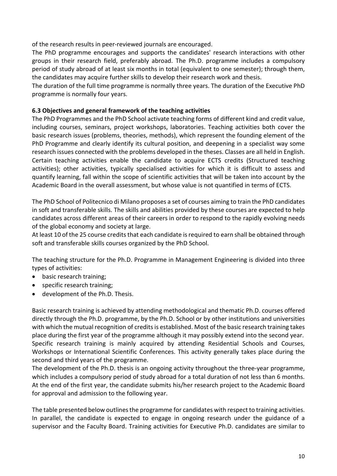of the research results in peer-reviewed journals are encouraged.

The PhD programme encourages and supports the candidates' research interactions with other groups in their research field, preferably abroad. The Ph.D. programme includes a compulsory period of study abroad of at least six months in total (equivalent to one semester); through them, the candidates may acquire further skills to develop their research work and thesis.

The duration of the full time programme is normally three years. The duration of the Executive PhD programme is normally four years.

#### **6.3 Objectives and general framework of the teaching activities**

The PhD Programmes and the PhD School activate teaching forms of different kind and credit value, including courses, seminars, project workshops, laboratories. Teaching activities both cover the basic research issues (problems, theories, methods), which represent the founding element of the PhD Programme and clearly identify its cultural position, and deepening in a specialist way some research issues connected with the problems developed in the theses. Classes are all held in English. Certain teaching activities enable the candidate to acquire ECTS credits (Structured teaching activities); other activities, typically specialised activities for which it is difficult to assess and quantify learning, fall within the scope of scientific activities that will be taken into account by the Academic Board in the overall assessment, but whose value is not quantified in terms of ECTS.

The PhD School of Politecnico di Milano proposes a set of courses aiming to train the PhD candidates in soft and transferable skills. The skills and abilities provided by these courses are expected to help candidates across different areas of their careers in order to respond to the rapidly evolving needs of the global economy and society at large.

At least 10 of the 25 course credits that each candidate is required to earn shall be obtained through soft and transferable skills courses organized by the PhD School.

The teaching structure for the Ph.D. Programme in Management Engineering is divided into three types of activities:

- basic research training;
- specific research training;
- development of the Ph.D. Thesis.

Basic research training is achieved by attending methodological and thematic Ph.D. courses offered directly through the Ph.D. programme, by the Ph.D. School or by other institutions and universities with which the mutual recognition of credits is established. Most of the basic research training takes place during the first year of the programme although it may possibly extend into the second year. Specific research training is mainly acquired by attending Residential Schools and Courses, Workshops or International Scientific Conferences. This activity generally takes place during the second and third years of the programme.

The development of the Ph.D. thesis is an ongoing activity throughout the three-year programme, which includes a compulsory period of study abroad for a total duration of not less than 6 months. At the end of the first year, the candidate submits his/her research project to the Academic Board for approval and admission to the following year.

The table presented below outlines the programme for candidates with respect to training activities. In parallel, the candidate is expected to engage in ongoing research under the guidance of a supervisor and the Faculty Board. Training activities for Executive Ph.D. candidates are similar to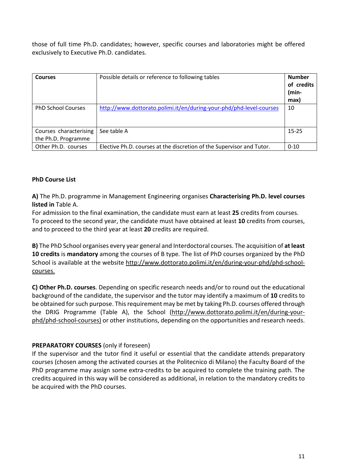those of full time Ph.D. candidates; however, specific courses and laboratories might be offered exclusively to Executive Ph.D. candidates.

| <b>Courses</b>                                | Possible details or reference to following tables                     | <b>Number</b><br>of credits<br>(min-<br>max) |
|-----------------------------------------------|-----------------------------------------------------------------------|----------------------------------------------|
| <b>PhD School Courses</b>                     | http://www.dottorato.polimi.it/en/during-your-phd/phd-level-courses   | 10                                           |
| Courses characterising<br>the Ph.D. Programme | See table A                                                           | $15 - 25$                                    |
| Other Ph.D. courses                           | Elective Ph.D. courses at the discretion of the Supervisor and Tutor. | $0 - 10$                                     |

#### **PhD Course List**

**A)** The Ph.D. programme in Management Engineering organises **Characterising Ph.D. level courses listed in** Table A.

For admission to the final examination, the candidate must earn at least **25** credits from courses. To proceed to the second year, the candidate must have obtained at least **10** credits from courses, and to proceed to the third year at least **20** credits are required.

**B)** The PhD School organises every year general and Interdoctoral courses. The acquisition of **at least 10 credits** is **mandatory** among the courses of B type*.* The list of PhD courses organized by the PhD School is available at the website [http://www.dottorato.polimi.it/en/during-your-phd/phd-school](http://www.dottorato.polimi.it/en/during-your-phd/phd-school-courses)[courses.](http://www.dottorato.polimi.it/en/during-your-phd/phd-school-courses)

**C) Other Ph.D. courses**. Depending on specific research needs and/or to round out the educational background of the candidate, the supervisor and the tutor may identify a maximum of **10** credits to be obtained for such purpose. Thisrequirement may be met by taking Ph.D. courses offered through the DRIG Programme (Table A), the School [\(http://www.dottorato.polimi.it/en/during-your](http://www.dottorato.polimi.it/en/during-your-phd/phd-school-courses)[phd/phd-school-courses\)](http://www.dottorato.polimi.it/en/during-your-phd/phd-school-courses) or other institutions, depending on the opportunities and research needs.

#### **PREPARATORY COURSES** (only if foreseen)

If the supervisor and the tutor find it useful or essential that the candidate attends preparatory courses (chosen among the activated courses at the Politecnico di Milano) the Faculty Board of the PhD programme may assign some extra-credits to be acquired to complete the training path. The credits acquired in this way will be considered as additional, in relation to the mandatory credits to be acquired with the PhD courses.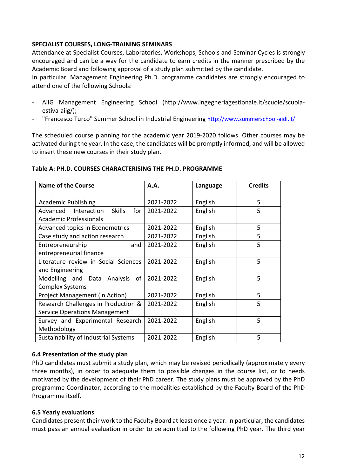#### **SPECIALIST COURSES, LONG-TRAINING SEMINARS**

Attendance at Specialist Courses, Laboratories, Workshops, Schools and Seminar Cycles is strongly encouraged and can be a way for the candidate to earn credits in the manner prescribed by the Academic Board and following approval of a study plan submitted by the candidate.

In particular, Management Engineering Ph.D. programme candidates are strongly encouraged to attend one of the following Schools:

- AiIG Management Engineering School (http://www.ingegneriagestionale.it/scuole/scuolaestiva-aiig/);
- "Francesco Turco" Summer School in Industrial Engineering<http://www.summerschool-aidi.it/>

The scheduled course planning for the academic year 2019-2020 follows. Other courses may be activated during the year. In the case, the candidates will be promptly informed, and will be allowed to insert these new courses in their study plan.

#### **Table A: PH.D. COURSES CHARACTERISING THE PH.D. PROGRAMME**

| <b>Name of the Course</b>                       | A.A.      | Language | <b>Credits</b> |
|-------------------------------------------------|-----------|----------|----------------|
| <b>Academic Publishing</b>                      | 2021-2022 | English  | 5              |
| <b>Skills</b><br>for<br>Advanced<br>Interaction | 2021-2022 | English  | 5              |
| <b>Academic Professionals</b>                   |           |          |                |
| Advanced topics in Econometrics                 | 2021-2022 | English  | 5              |
| Case study and action research                  | 2021-2022 | English  | 5              |
| Entrepreneurship<br>and                         | 2021-2022 | English  | 5              |
| entrepreneurial finance                         |           |          |                |
| Literature review in Social Sciences            | 2021-2022 | English  | 5              |
| and Engineering                                 |           |          |                |
| Modelling and Data Analysis<br>of               | 2021-2022 | English  | 5              |
| <b>Complex Systems</b>                          |           |          |                |
| Project Management (in Action)                  | 2021-2022 | English  | 5              |
| Research Challenges in Production &             | 2021-2022 | English  | 5              |
| <b>Service Operations Management</b>            |           |          |                |
| Survey and Experimental Research                | 2021-2022 | English  | 5              |
| Methodology                                     |           |          |                |
| Sustainability of Industrial Systems            | 2021-2022 | English  | 5              |

#### **6.4 Presentation of the study plan**

PhD candidates must submit a study plan, which may be revised periodically (approximately every three months), in order to adequate them to possible changes in the course list, or to needs motivated by the development of their PhD career. The study plans must be approved by the PhD programme Coordinator, according to the modalities established by the Faculty Board of the PhD Programme itself.

#### **6.5 Yearly evaluations**

Candidates present their work to the Faculty Board at least once a year. In particular, the candidates must pass an annual evaluation in order to be admitted to the following PhD year. The third year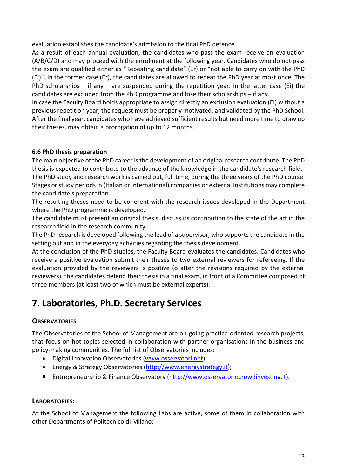evaluation establishes the candidate's admission to the final PhD defence.

As a result of each annual evaluation, the candidates who pass the exam receive an evaluation (A/B/C/D) and may proceed with the enrolment at the following year. Candidates who do not pass the exam are qualified either as "Repeating candidate" (Er) or "not able to carry on with the PhD (Ei)". In the former case (Er), the candidates are allowed to repeat the PhD year at most once. The PhD scholarships – if any – are suspended during the repetition year. In the latter case (Ei) the candidates are excluded from the PhD programme and lose their scholarships – if any.

In case the Faculty Board holds appropriate to assign directly an exclusion evaluation (Ei) without a previous repetition year, the request must be properly motivated, and validated by the PhD School. After the final year, candidates who have achieved sufficient results but need more time to draw up their theses, may obtain a prorogation of up to 12 months.

### **6.6 PhD thesis preparation**

The main objective of the PhD career is the development of an original research contribute. The PhD thesis is expected to contribute to the advance of the knowledge in the candidate's research field.

The PhD study and research work is carried out, full time, during the three years of the PhD course. Stages or study periods in (Italian or International) companies or external Institutions may complete the candidate's preparation.

The resulting theses need to be coherent with the research issues developed in the Department where the PhD programme is developed.

The candidate must present an original thesis, discuss its contribution to the state of the art in the research field in the research community.

The PhD research is developed following the lead of a supervisor, who supports the candidate in the setting out and in the everyday activities regarding the thesis development.

At the conclusion of the PhD studies, the Faculty Board evaluates the candidates. Candidates who receive a positive evaluation submit their theses to two external reviewers for refereeing. If the evaluation provided by the reviewers is positive (o after the revisions required by the external reviewers), the candidates defend their thesis in a final exam, in front of a Committee composed of three members (at least two of which must be external experts).

## **7. Laboratories, Ph.D. Secretary Services**

### **OBSERVATORIES**

The Observatories of the School of Management are on-going practice-oriented research projects, that focus on hot topics selected in collaboration with partner organisations in the business and policy-making communities. The full list of Observatories includes:

- Digital Innovation Observatories [\(www.osservatori.net\)](http://www.osservatori.net/);
- Energy & Strategy Observatories [\(http://www.energystrategy.it\)](http://www.energystrategy.it/);
- Entrepreneurship & Finance Observatory [\(http://www.osservatoriocrowdinvesting.it\)](http://www.osservatoriocrowdinvesting.it/).

#### **LABORATORIES:**

At the School of Management the following Labs are active, some of them in collaboration with other Departments of Politecnico di Milano: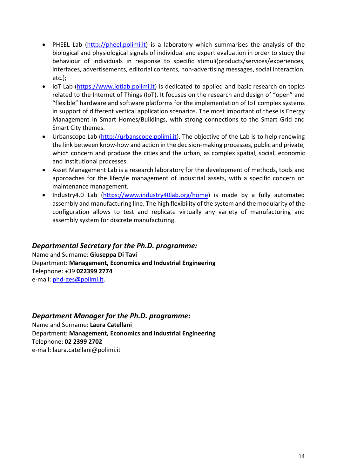- PHEEL Lab [\(http://pheel.polimi.it\)](http://pheel.polimi.it/) is a laboratory which summarises the analysis of the biological and physiological signals of individual and expert evaluation in order to study the behaviour of individuals in response to specific stimuli(products/services/experiences, interfaces, advertisements, editorial contents, non-advertising messages, social interaction, etc.);
- IoT Lab [\(https://www.iotlab.polimi.it\)](https://www.iotlab.polimi.it/) is dedicated to applied and basic research on topics related to the Internet of Things (IoT). It focuses on the research and design of "open" and "flexible" hardware and software platforms for the implementation of IoT complex systems in support of different vertical application scenarios. The most important of these is Energy Management in Smart Homes/Buildings, with strong connections to the Smart Grid and Smart City themes.
- Urbanscope Lab [\(http://urbanscope.polimi.it\)](http://urbanscope.polimi.it/). The objective of the Lab is to help renewing the link between know-how and action in the decision-making processes, public and private, which concern and produce the cities and the urban, as complex spatial, social, economic and institutional processes.
- Asset Management Lab is a research laboratory for the development of methods, tools and approaches for the lifecyle management of industrial assets, with a specific concern on maintenance management.
- Industry4.0 Lab [\(https://www.industry40lab.org/home\)](https://www.industry40lab.org/home) is made by a fully automated assembly and manufacturing line. The high flexibility of the system and the modularity of the configuration allows to test and replicate virtually any variety of manufacturing and assembly system for discrete manufacturing.

### *Departmental Secretary for the Ph.D. programme:*

Name and Surname: **Giuseppa Di Tavi** Department: **Management, Economics and Industrial Engineering** Telephone: +39 **022399 2774** e-mail: [phd-ges@polimi.it.](mailto:phd-ges@polimi.it)

### *Department Manager for the Ph.D. programme:*

Name and Surname: **Laura Catellani**  Department: **Management, Economics and Industrial Engineering** Telephone: **02 2399 2702** e-mail: [laura.catellani@polimi.it](mailto:laura.catellani@polimi.it)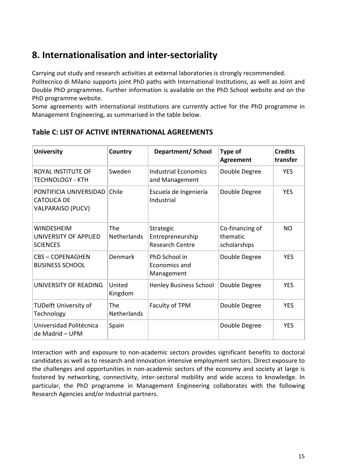## **8. Internationalisation and inter-sectoriality**

Carrying out study and research activities at external laboratories is strongly recommended.

Politecnico di Milano supports joint PhD paths with International Institutions, as well as Joint and Double PhD programmes. Further information is available on the PhD School website and on the PhD programme website.

Some agreements with international institutions are currently active for the PhD programme in Management Engineering, as summarised in the table below.

| <b>University</b>                                                        | Country                   | Department/ School                                      | Type of<br><b>Agreement</b>                 | <b>Credits</b><br>transfer |
|--------------------------------------------------------------------------|---------------------------|---------------------------------------------------------|---------------------------------------------|----------------------------|
| <b>ROYAL INSTITUTE OF</b><br>TECHNOLOGY - KTH                            | Sweden                    | <b>Industrial Economics</b><br>and Management           | Double Degree                               | <b>YES</b>                 |
| PONTIFICIA UNIVERSIDAD<br><b>CATOLICA DE</b><br><b>VALPARAISO (PUCV)</b> | Chile                     | Escuela de Ingeniería<br>Industrial                     | Double Degree                               | <b>YES</b>                 |
| <b>WINDESHEIM</b><br>UNIVERSITY OF APPLIED<br><b>SCIENCES</b>            | The<br><b>Netherlands</b> | Strategic<br>Entrepreneurship<br><b>Research Centre</b> | Co-financing of<br>thematic<br>scholarships | <b>NO</b>                  |
| <b>CBS-COPENAGHEN</b><br><b>BUSINESS SCHOOL</b>                          | Denmark                   | PhD School in<br>Economics and<br>Management            | Double Degree                               | <b>YES</b>                 |
| UNIVERSITY OF READING                                                    | United<br>Kingdom         | <b>Henley Business School</b>                           | Double Degree                               | <b>YES</b>                 |
| <b>TUDelft University of</b><br>Technology                               | The<br><b>Netherlands</b> | Faculty of TPM                                          | Double Degree                               | <b>YES</b>                 |
| Universidad Politécnica<br>de Madrid – UPM                               | Spain                     |                                                         | Double Degree                               | <b>YES</b>                 |

### **Table C: LIST OF ACTIVE INTERNATIONAL AGREEMENTS**

Interaction with and exposure to non-academic sectors provides significant benefits to doctoral candidates as well as to research and innovation intensive employment sectors. Direct exposure to the challenges and opportunities in non-academic sectors of the economy and society at large is fostered by networking, connectivity, inter-sectoral mobility and wide access to knowledge. In particular, the PhD programme in Management Engineering collaborates with the following Research Agencies and/or Industrial partners.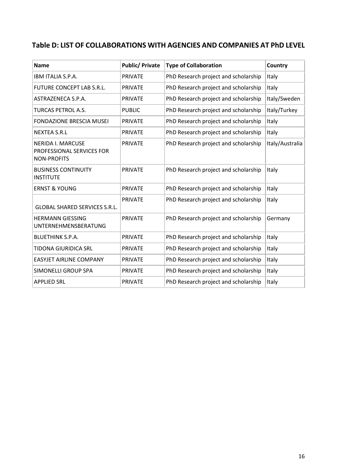### **Table D: LIST OF COLLABORATIONS WITH AGENCIES AND COMPANIES AT PhD LEVEL**

| <b>Name</b>                                                                 | <b>Public/ Private</b> | <b>Type of Collaboration</b>         | Country         |
|-----------------------------------------------------------------------------|------------------------|--------------------------------------|-----------------|
| IBM ITALIA S.P.A.                                                           | <b>PRIVATE</b>         | PhD Research project and scholarship | Italy           |
| FUTURE CONCEPT LAB S.R.L.                                                   | <b>PRIVATE</b>         | PhD Research project and scholarship | Italy           |
| ASTRAZENECA S.P.A.                                                          | <b>PRIVATE</b>         | PhD Research project and scholarship | Italy/Sweden    |
| <b>TURCAS PETROL A.S.</b>                                                   | <b>PUBLIC</b>          | PhD Research project and scholarship | Italy/Turkey    |
| <b>FONDAZIONE BRESCIA MUSEI</b>                                             | <b>PRIVATE</b>         | PhD Research project and scholarship | Italy           |
| <b>NEXTEA S.R.L</b>                                                         | <b>PRIVATE</b>         | PhD Research project and scholarship | Italy           |
| <b>NERIDA I. MARCUSE</b><br>PROFESSIONAL SERVICES FOR<br><b>NON-PROFITS</b> | <b>PRIVATE</b>         | PhD Research project and scholarship | Italy/Australia |
| <b>BUSINESS CONTINUITY</b><br><b>INSTITUTE</b>                              | <b>PRIVATE</b>         | PhD Research project and scholarship | Italy           |
| <b>ERNST &amp; YOUNG</b>                                                    | <b>PRIVATE</b>         | PhD Research project and scholarship | Italy           |
| <b>GLOBAL SHARED SERVICES S.R.L.</b>                                        | <b>PRIVATE</b>         | PhD Research project and scholarship | Italy           |
| <b>HERMANN GIESSING</b><br>UNTERNEHMENSBERATUNG                             | <b>PRIVATE</b>         | PhD Research project and scholarship | Germany         |
| <b>BLUETHINK S.P.A.</b>                                                     | <b>PRIVATE</b>         | PhD Research project and scholarship | Italy           |
| <b>TIDONA GIURIDICA SRL</b>                                                 | <b>PRIVATE</b>         | PhD Research project and scholarship | Italy           |
| <b>EASYJET AIRLINE COMPANY</b>                                              | <b>PRIVATE</b>         | PhD Research project and scholarship | Italy           |
| SIMONELLI GROUP SPA                                                         | <b>PRIVATE</b>         | PhD Research project and scholarship | Italy           |
| <b>APPLIED SRL</b>                                                          | <b>PRIVATE</b>         | PhD Research project and scholarship | Italy           |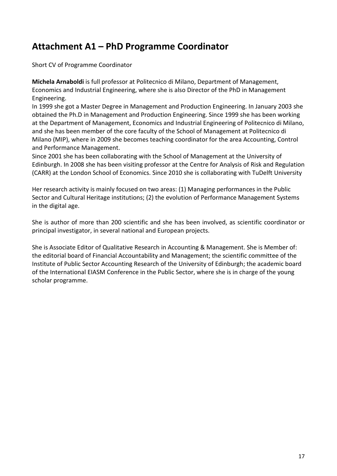## **Attachment A1 – PhD Programme Coordinator**

Short CV of Programme Coordinator

**Michela Arnaboldi** is full professor at Politecnico di Milano, Department of Management, Economics and Industrial Engineering, where she is also Director of the PhD in Management Engineering.

In 1999 she got a Master Degree in Management and Production Engineering. In January 2003 she obtained the Ph.D in Management and Production Engineering. Since 1999 she has been working at the Department of Management, Economics and Industrial Engineering of Politecnico di Milano, and she has been member of the core faculty of the School of Management at Politecnico di Milano (MIP), where in 2009 she becomes teaching coordinator for the area Accounting, Control and Performance Management.

Since 2001 she has been collaborating with the School of Management at the University of Edinburgh. In 2008 she has been visiting professor at the Centre for Analysis of Risk and Regulation (CARR) at the London School of Economics. Since 2010 she is collaborating with TuDelft University

Her research activity is mainly focused on two areas: (1) Managing performances in the Public Sector and Cultural Heritage institutions; (2) the evolution of Performance Management Systems in the digital age.

She is author of more than 200 scientific and she has been involved, as scientific coordinator or principal investigator, in several national and European projects.

She is Associate Editor of Qualitative Research in Accounting & Management. She is Member of: the editorial board of Financial Accountability and Management; the scientific committee of the Institute of Public Sector Accounting Research of the University of Edinburgh; the academic board of the International EIASM Conference in the Public Sector, where she is in charge of the young scholar programme.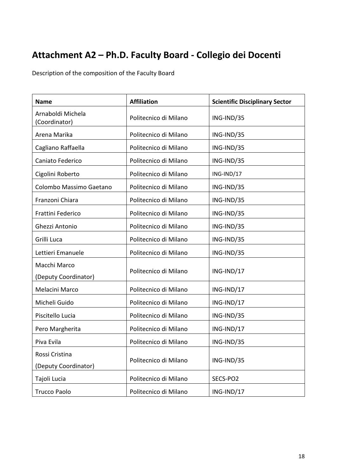# **Attachment A2 – Ph.D. Faculty Board - Collegio dei Docenti**

Description of the composition of the Faculty Board

| <b>Name</b>                            | <b>Affiliation</b>    | <b>Scientific Disciplinary Sector</b> |
|----------------------------------------|-----------------------|---------------------------------------|
| Arnaboldi Michela<br>(Coordinator)     | Politecnico di Milano | ING-IND/35                            |
| Arena Marika                           | Politecnico di Milano | ING-IND/35                            |
| Cagliano Raffaella                     | Politecnico di Milano | ING-IND/35                            |
| Caniato Federico                       | Politecnico di Milano | ING-IND/35                            |
| Cigolini Roberto                       | Politecnico di Milano | ING-IND/17                            |
| Colombo Massimo Gaetano                | Politecnico di Milano | ING-IND/35                            |
| Franzoni Chiara                        | Politecnico di Milano | ING-IND/35                            |
| Frattini Federico                      | Politecnico di Milano | ING-IND/35                            |
| Ghezzi Antonio                         | Politecnico di Milano | ING-IND/35                            |
| Grilli Luca                            | Politecnico di Milano | ING-IND/35                            |
| Lettieri Emanuele                      | Politecnico di Milano | ING-IND/35                            |
| Macchi Marco<br>(Deputy Coordinator)   | Politecnico di Milano | ING-IND/17                            |
| Melacini Marco                         | Politecnico di Milano | ING-IND/17                            |
| Micheli Guido                          | Politecnico di Milano | ING-IND/17                            |
| Piscitello Lucia                       | Politecnico di Milano | ING-IND/35                            |
| Pero Margherita                        | Politecnico di Milano | ING-IND/17                            |
| Piva Evila                             | Politecnico di Milano | ING-IND/35                            |
| Rossi Cristina<br>(Deputy Coordinator) | Politecnico di Milano | ING-IND/35                            |
| Tajoli Lucia                           | Politecnico di Milano | SECS-PO2                              |
| <b>Trucco Paolo</b>                    | Politecnico di Milano | ING-IND/17                            |